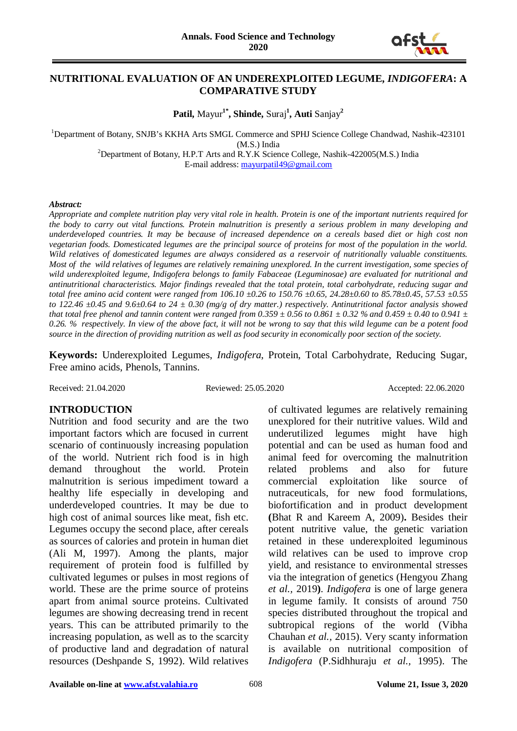

#### **NUTRITIONAL EVALUATION OF AN UNDEREXPLOITED LEGUME,** *INDIGOFERA***: A COMPARATIVE STUDY**

**Patil,** Mayur**1\* , Shinde,** Suraj**<sup>1</sup> , Auti** Sanjay**<sup>2</sup>**

<sup>1</sup>Department of Botany, SNJB's KKHA Arts SMGL Commerce and SPHJ Science College Chandwad, Nashik-423101

(M.S.) India<br><sup>2</sup>Department of Botany, H.P.T Arts and R.Y.K Science College, Nashik-422005(M.S.) India E-mail address: [mayurpatil49@gmail.com](mailto:mayurpatil49@gmail.com)

#### *Abstract:*

*Appropriate and complete nutrition play very vital role in health. Protein is one of the important nutrients required for the body to carry out vital functions. Protein malnutrition is presently a serious problem in many developing and underdeveloped countries. It may be because of increased dependence on a cereals based diet or high cost non*  vegetarian foods. Domesticated legumes are the principal source of proteins for most of the population in the world. *Wild relatives of domesticated legumes are always considered as a reservoir of nutritionally valuable constituents. Most of the wild relatives of legumes are relatively remaining unexplored. In the current investigation, some species of wild underexploited legume, Indigofera belongs to family Fabaceae (Leguminosae) are evaluated for nutritional and antinutritional characteristics. Major findings revealed that the total protein, total carbohydrate, reducing sugar and total free amino acid content were ranged from 106.10 ±0.26 to 150.76 ±0.65, 24.28±0.60 to 85.78±0.45, 57.53 ±0.55 to* 122.46  $\pm$ 0.45 and 9.6 $\pm$ 0.64 to 24  $\pm$  0.30 (mg/g of dry matter.) respectively. Antinutritional factor analysis showed *that total free phenol and tannin content were ranged from 0.359 ± 0.56 to 0.861 ± 0.32 % and 0.459 ± 0.40 to 0.941 ± 0.26. % respectively. In view of the above fact, it will not be wrong to say that this wild legume can be a potent food source in the direction of providing nutrition as well as food security in economically poor section of the society.*

**Keywords:** Underexploited Legumes, *Indigofera*, Protein, Total Carbohydrate, Reducing Sugar, Free amino acids, Phenols, Tannins.

Received: 21.04.2020 Reviewed: 25.05.2020 Accepted: 22.06.2020

#### **INTRODUCTION**

Nutrition and food security and are the two important factors which are focused in current scenario of continuously increasing population of the world. Nutrient rich food is in high demand throughout the world. Protein malnutrition is serious impediment toward a healthy life especially in developing and underdeveloped countries. It may be due to high cost of animal sources like meat, fish etc. Legumes occupy the second place, after cereals as sources of calories and protein in human diet (Ali M, 1997). Among the plants, major requirement of protein food is fulfilled by cultivated legumes or pulses in most regions of world. These are the prime source of proteins apart from animal source proteins. Cultivated legumes are showing decreasing trend in recent years. This can be attributed primarily to the increasing population, as well as to the scarcity of productive land and degradation of natural resources (Deshpande S, 1992). Wild relatives

of cultivated legumes are relatively remaining unexplored for their nutritive values. Wild and underutilized legumes might have high potential and can be used as human food and animal feed for overcoming the malnutrition related problems and also for future commercial exploitation like source of nutraceuticals, for new food formulations, biofortification and in product development **(**Bhat R and Kareem A, 2009)**.** Besides their potent nutritive value, the genetic variation retained in these underexploited leguminous wild relatives can be used to improve crop yield, and resistance to environmental stresses via the integration of genetics (Hengyou Zhang *et al.,* 2019**)**. *Indigofera* is one of large genera in legume family. It consists of around 750 species distributed throughout the tropical and subtropical regions of the world (Vibha Chauhan *et al.,* 2015). Very scanty information is available on nutritional composition of *Indigofera* (P.Sidhhuraju *et al.,* 1995). The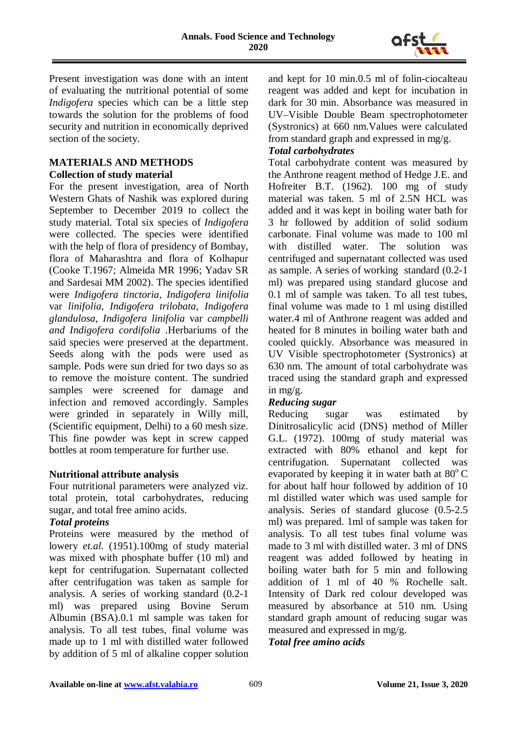

Present investigation was done with an intent of evaluating the nutritional potential of some *Indigofera* species which can be a little step towards the solution for the problems of food security and nutrition in economically deprived section of the society.

#### **MATERIALS AND METHODS Collection of study material**

For the present investigation, area of North Western Ghats of Nashik was explored during September to December 2019 to collect the study material. Total six species of *Indigofera* were collected. The species were identified with the help of flora of presidency of Bombay, flora of Maharashtra and flora of Kolhapur (Cooke T.1967; Almeida MR 1996; Yadav SR and Sardesai MM 2002). The species identified were *Indigofera tinctoria, Indigofera linifolia*  var *linifolia, Indigofera trilobata, Indigofera glandulosa, Indigofera linifolia* var *campbelli and Indigofera cordifolia* .Herbariums of the said species were preserved at the department. Seeds along with the pods were used as sample. Pods were sun dried for two days so as to remove the moisture content. The sundried samples were screened for damage and infection and removed accordingly. Samples were grinded in separately in Willy mill, (Scientific equipment, Delhi) to a 60 mesh size. This fine powder was kept in screw capped bottles at room temperature for further use.

# **Nutritional attribute analysis**

Four nutritional parameters were analyzed viz. total protein, total carbohydrates, reducing sugar, and total free amino acids.

# *Total proteins*

Proteins were measured by the method of lowery *et.al.* (1951).100mg of study material was mixed with phosphate buffer (10 ml) and kept for centrifugation. Supernatant collected after centrifugation was taken as sample for analysis. A series of working standard (0.2-1 ml) was prepared using Bovine Serum Albumin (BSA).0.1 ml sample was taken for analysis. To all test tubes, final volume was made up to 1 ml with distilled water followed by addition of 5 ml of alkaline copper solution

and kept for 10 min.0.5 ml of folin-ciocalteau reagent was added and kept for incubation in dark for 30 min. Absorbance was measured in UV–Visible Double Beam spectrophotometer (Systronics) at 660 nm.Values were calculated from standard graph and expressed in mg/g.

# *Total carbohydrates*

Total carbohydrate content was measured by the Anthrone reagent method of Hedge J.E. and Hofreiter B.T. (1962). 100 mg of study material was taken. 5 ml of 2.5N HCL was added and it was kept in boiling water bath for 3 hr followed by addition of solid sodium carbonate. Final volume was made to 100 ml with distilled water. The solution was centrifuged and supernatant collected was used as sample. A series of working standard (0.2-1 ml) was prepared using standard glucose and 0.1 ml of sample was taken. To all test tubes, final volume was made to 1 ml using distilled water.4 ml of Anthrone reagent was added and heated for 8 minutes in boiling water bath and cooled quickly. Absorbance was measured in UV Visible spectrophotometer (Systronics) at 630 nm. The amount of total carbohydrate was traced using the standard graph and expressed in mg/g.

# *Reducing sugar*

Reducing sugar was estimated by Dinitrosalicylic acid (DNS) method of Miller G.L. (1972). 100mg of study material was extracted with 80% ethanol and kept for centrifugation. Supernatant collected was evaporated by keeping it in water bath at  $80^{\circ}$ C for about half hour followed by addition of 10 ml distilled water which was used sample for analysis. Series of standard glucose (0.5-2.5 ml) was prepared. 1ml of sample was taken for analysis. To all test tubes final volume was made to 3 ml with distilled water. 3 ml of DNS reagent was added followed by heating in boiling water bath for 5 min and following addition of 1 ml of 40 % Rochelle salt. Intensity of Dark red colour developed was measured by absorbance at 510 nm. Using standard graph amount of reducing sugar was measured and expressed in mg/g.

#### *Total free amino acids*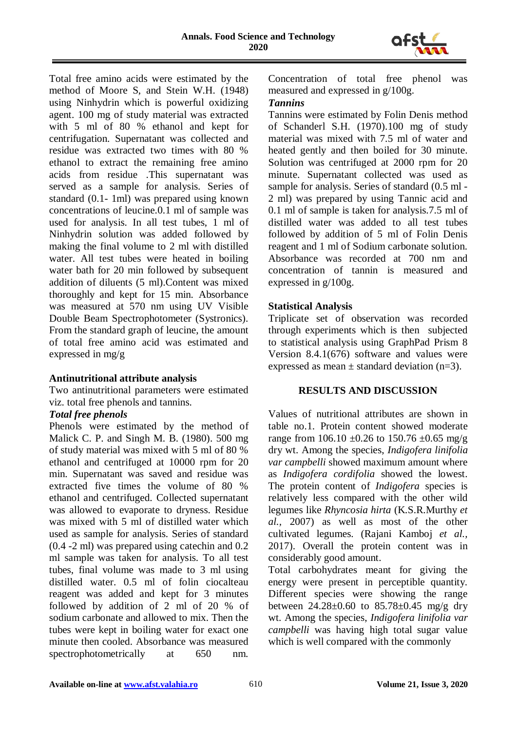

Total free amino acids were estimated by the method of Moore S, and Stein W.H. (1948) using Ninhydrin which is powerful oxidizing agent. 100 mg of study material was extracted with 5 ml of 80 % ethanol and kept for centrifugation. Supernatant was collected and residue was extracted two times with 80 % ethanol to extract the remaining free amino acids from residue .This supernatant was served as a sample for analysis. Series of standard (0.1- 1ml) was prepared using known concentrations of leucine.0.1 ml of sample was used for analysis. In all test tubes, 1 ml of Ninhydrin solution was added followed by making the final volume to 2 ml with distilled water. All test tubes were heated in boiling water bath for 20 min followed by subsequent addition of diluents (5 ml).Content was mixed thoroughly and kept for 15 min. Absorbance was measured at 570 nm using UV Visible Double Beam Spectrophotometer (Systronics). From the standard graph of leucine, the amount of total free amino acid was estimated and expressed in mg/g

#### **Antinutritional attribute analysis**

Two antinutritional parameters were estimated viz. total free phenols and tannins.

#### *Total free phenols*

Phenols were estimated by the method of Malick C. P. and Singh M. B. (1980). 500 mg of study material was mixed with 5 ml of 80 % ethanol and centrifuged at 10000 rpm for 20 min. Supernatant was saved and residue was extracted five times the volume of 80 % ethanol and centrifuged. Collected supernatant was allowed to evaporate to dryness. Residue was mixed with 5 ml of distilled water which used as sample for analysis. Series of standard (0.4 -2 ml) was prepared using catechin and 0.2 ml sample was taken for analysis. To all test tubes, final volume was made to 3 ml using distilled water. 0.5 ml of folin ciocalteau reagent was added and kept for 3 minutes followed by addition of 2 ml of 20 % of sodium carbonate and allowed to mix. Then the tubes were kept in boiling water for exact one minute then cooled. Absorbance was measured spectrophotometrically at 650 nm.

Concentration of total free phenol was measured and expressed in g/100g.

#### *Tannins*

Tannins were estimated by Folin Denis method of Schanderl S.H. (1970).100 mg of study material was mixed with 7.5 ml of water and heated gently and then boiled for 30 minute. Solution was centrifuged at 2000 rpm for 20 minute. Supernatant collected was used as sample for analysis. Series of standard (0.5 ml - 2 ml) was prepared by using Tannic acid and 0.1 ml of sample is taken for analysis.7.5 ml of distilled water was added to all test tubes followed by addition of 5 ml of Folin Denis reagent and 1 ml of Sodium carbonate solution. Absorbance was recorded at 700 nm and concentration of tannin is measured and expressed in g/100g.

## **Statistical Analysis**

Triplicate set of observation was recorded through experiments which is then subjected to statistical analysis using GraphPad Prism 8 Version 8.4.1(676) software and values were expressed as mean  $\pm$  standard deviation (n=3).

# **RESULTS AND DISCUSSION**

Values of nutritional attributes are shown in table no.1. Protein content showed moderate range from 106.10  $\pm 0.26$  to 150.76  $\pm 0.65$  mg/g dry wt. Among the species, *Indigofera linifolia var campbelli* showed maximum amount where as *Indigofera cordifolia* showed the lowest. The protein content of *Indigofera* species is relatively less compared with the other wild legumes like *Rhyncosia hirta* (K.S.R.Murthy *et al.,* 2007) as well as most of the other cultivated legumes. (Rajani Kamboj *et al.,* 2017). Overall the protein content was in considerably good amount.

Total carbohydrates meant for giving the energy were present in perceptible quantity. Different species were showing the range between  $24.28 \pm 0.60$  to  $85.78 \pm 0.45$  mg/g dry wt. Among the species, *Indigofera linifolia var campbelli* was having high total sugar value which is well compared with the commonly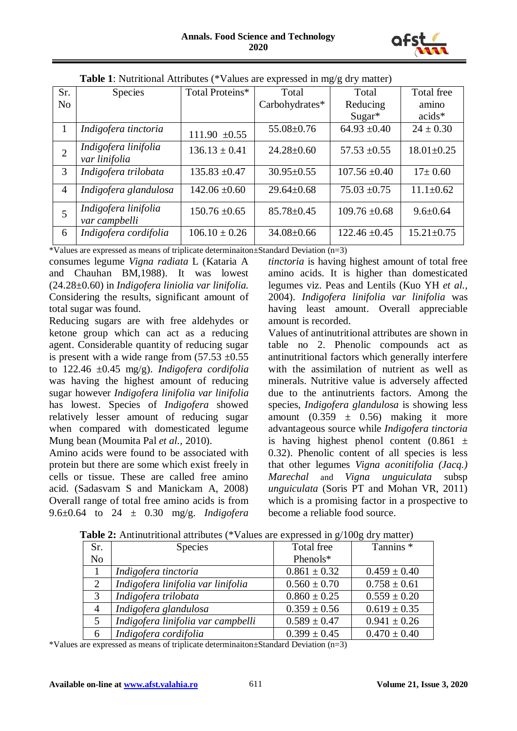

| Sr.            | <b>Species</b>                        | Total Proteins*   | Total            | Total             | Total free       |  |
|----------------|---------------------------------------|-------------------|------------------|-------------------|------------------|--|
| N <sub>0</sub> |                                       |                   | Carbohydrates*   | Reducing          | amino            |  |
|                |                                       |                   |                  | $Sugar*$          | $acids*$         |  |
| 1              | Indigofera tinctoria                  | 111.90 $\pm 0.55$ | $55.08 \pm 0.76$ | $64.93 \pm 0.40$  | $24 \pm 0.30$    |  |
| $\overline{2}$ | Indigofera linifolia<br>var linifolia | $136.13 \pm 0.41$ | $24.28 \pm 0.60$ | $57.53 \pm 0.55$  | $18.01 \pm 0.25$ |  |
| 3              | Indigofera trilobata                  | $135.83 \pm 0.47$ | $30.95 \pm 0.55$ | $107.56 \pm 0.40$ | $17 \pm 0.60$    |  |
| $\overline{4}$ | Indigofera glandulosa                 | $142.06 \pm 0.60$ | $29.64 \pm 0.68$ | $75.03 \pm 0.75$  | $11.1 \pm 0.62$  |  |
| 5              | Indigofera linifolia<br>var campbelli | $150.76 \pm 0.65$ | $85.78 \pm 0.45$ | $109.76 \pm 0.68$ | $9.6 \pm 0.64$   |  |
| 6              | Indigofera cordifolia                 | $106.10 \pm 0.26$ | $34.08 \pm 0.66$ | $122.46 \pm 0.45$ | $15.21 \pm 0.75$ |  |

| <b>Table 1</b> : Nutritional Attributes (*Values are expressed in mg/g dry matter) |  |  |
|------------------------------------------------------------------------------------|--|--|
|------------------------------------------------------------------------------------|--|--|

\*Values are expressed as means of triplicate determinaiton±Standard Deviation (n=3)

consumes legume *Vigna radiata* L (Kataria A and Chauhan BM,1988). It was lowest (24.28±0.60) in *Indigofera liniolia var linifolia.* Considering the results, significant amount of total sugar was found.

Reducing sugars are with free aldehydes or ketone group which can act as a reducing agent. Considerable quantity of reducing sugar is present with a wide range from  $(57.53 \pm 0.55)$ to 122.46 ±0.45 mg/g). *Indigofera cordifolia* was having the highest amount of reducing sugar however *Indigofera linifolia var linifolia*  has lowest. Species of *Indigofera* showed relatively lesser amount of reducing sugar when compared with domesticated legume Mung bean (Moumita Pal *et al.,* 2010).

Amino acids were found to be associated with protein but there are some which exist freely in cells or tissue. These are called free amino acid. (Sadasvam S and Manickam A, 2008) Overall range of total free amino acids is from 9.6±0.64 to 24 ± 0.30 mg/g. *Indigofera*  *tinctoria* is having highest amount of total free amino acids. It is higher than domesticated legumes viz. Peas and Lentils (Kuo YH *et al.,* 2004). *Indigofera linifolia var linifolia* was having least amount. Overall appreciable amount is recorded.

Values of antinutritional attributes are shown in table no 2. Phenolic compounds act as antinutritional factors which generally interfere with the assimilation of nutrient as well as minerals. Nutritive value is adversely affected due to the antinutrients factors. Among the species, *Indigofera glandulosa* is showing less amount  $(0.359 \pm 0.56)$  making it more advantageous source while *Indigofera tinctoria* is having highest phenol content  $(0.861 \pm$ 0.32). Phenolic content of all species is less that other legumes *Vigna aconitifolia (Jacq.) Marechal* and *Vigna unguiculata* subsp *unguiculata* (Soris PT and Mohan VR, 2011) which is a promising factor in a prospective to become a reliable food source.

| Sr.            | <b>Species</b>                     | Total free       | Tannins <sup>*</sup> |
|----------------|------------------------------------|------------------|----------------------|
| N <sub>o</sub> |                                    | Phenols*         |                      |
|                | Indigofera tinctoria               | $0.861 \pm 0.32$ | $0.459 \pm 0.40$     |
| 2              | Indigofera linifolia var linifolia | $0.560 \pm 0.70$ | $0.758 \pm 0.61$     |
| 3              | Indigofera trilobata               | $0.860 \pm 0.25$ | $0.559 \pm 0.20$     |
| $\overline{4}$ | Indigofera glandulosa              | $0.359 \pm 0.56$ | $0.619 \pm 0.35$     |
| 5              | Indigofera linifolia var campbelli | $0.589 \pm 0.47$ | $0.941 \pm 0.26$     |
| 6              | Indigofera cordifolia              | $0.399 \pm 0.45$ | $0.470 \pm 0.40$     |

**Table 2:** Antinutritional attributes (\*Values are expressed in g/100g dry matter)

\*Values are expressed as means of triplicate determinaiton±Standard Deviation (n=3)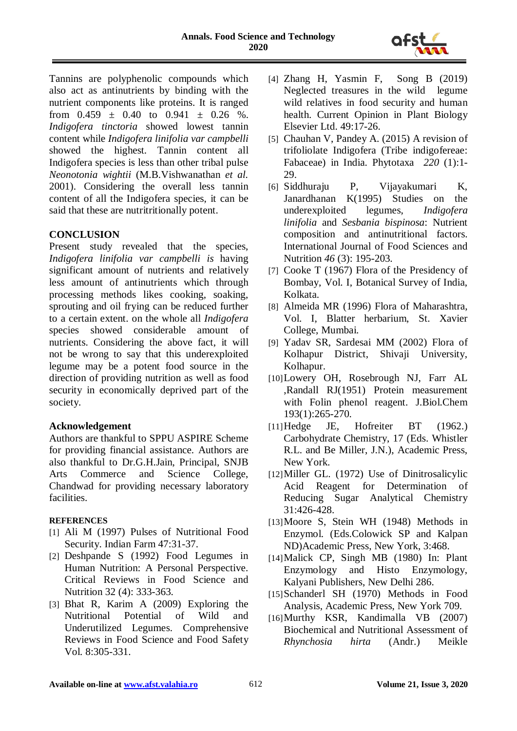

Tannins are polyphenolic compounds which also act as antinutrients by binding with the nutrient components like proteins. It is ranged from  $0.459 \pm 0.40$  to  $0.941 \pm 0.26$  %. *Indigofera tinctoria* showed lowest tannin content while *Indigofera linifolia var campbelli* showed the highest*.* Tannin content all Indigofera species is less than other tribal pulse *Neonotonia wightii* (M.B.Vishwanathan *et al.* 2001). Considering the overall less tannin content of all the Indigofera species, it can be said that these are nutritritionally potent.

## **CONCLUSION**

Present study revealed that the species, *Indigofera linifolia var campbelli is* having significant amount of nutrients and relatively less amount of antinutrients which through processing methods likes cooking, soaking, sprouting and oil frying can be reduced further to a certain extent. on the whole all *Indigofera* species showed considerable amount of nutrients. Considering the above fact, it will not be wrong to say that this underexploited legume may be a potent food source in the direction of providing nutrition as well as food security in economically deprived part of the society.

#### **Acknowledgement**

Authors are thankful to SPPU ASPIRE Scheme for providing financial assistance. Authors are also thankful to Dr.G.H.Jain, Principal, SNJB Arts Commerce and Science College, Chandwad for providing necessary laboratory facilities.

#### **REFERENCES**

- [1] Ali M (1997) Pulses of Nutritional Food Security. Indian Farm 47:31-37.
- [2] Deshpande S (1992) Food Legumes in Human Nutrition: A Personal Perspective. Critical Reviews in Food Science and Nutrition 32 (4): 333-363.
- [3] Bhat R, Karim A (2009) Exploring the Nutritional Potential of Wild and Underutilized Legumes. Comprehensive Reviews in Food Science and Food Safety Vol. 8:305-331.
- [4] Zhang H, Yasmin F, Song B (2019) Neglected treasures in the wild legume wild relatives in food security and human health. Current Opinion in Plant Biology Elsevier Ltd. 49:17-26.
- [5] Chauhan V, Pandey A. (2015) A revision of trifoliolate Indigofera (Tribe indigofereae: Fabaceae) in India. Phytotaxa *220* (1):1- 29.
- [6] Siddhuraju P, Vijayakumari K, Janardhanan K(1995) Studies on the underexploited legumes, *Indigofera linifolia* and *Sesbania bispinosa*: Nutrient composition and antinutritional factors. International Journal of Food Sciences and Nutrition *46* (3): 195-203.
- [7] Cooke T (1967) Flora of the Presidency of Bombay, Vol. I, Botanical Survey of India, Kolkata.
- [8] Almeida MR (1996) Flora of Maharashtra, Vol. I, Blatter herbarium, St. Xavier College, Mumbai.
- [9] Yadav SR, Sardesai MM (2002) Flora of Kolhapur District, Shivaji University, Kolhapur.
- [10]Lowery OH, Rosebrough NJ, Farr AL ,Randall RJ(1951) Protein measurement with Folin phenol reagent. J.Biol.Chem 193(1):265-270.
- [11]Hedge JE, Hofreiter BT (1962.) Carbohydrate Chemistry, 17 (Eds. Whistler R.L. and Be Miller, J.N.), Academic Press, New York.
- [12]Miller GL. (1972) Use of Dinitrosalicylic Acid Reagent for Determination of Reducing Sugar Analytical Chemistry 31:426-428.
- [13]Moore S, Stein WH (1948) Methods in Enzymol. (Eds.Colowick SP and Kalpan ND)Academic Press, New York, 3:468.
- [14]Malick CP, Singh MB (1980) In: Plant Enzymology and Histo Enzymology, Kalyani Publishers, New Delhi 286.
- [15]Schanderl SH (1970) Methods in Food Analysis, Academic Press, New York 709.
- [16]Murthy KSR, Kandimalla VB (2007) Biochemical and Nutritional Assessment of *Rhynchosia hirta* (Andr.) Meikle